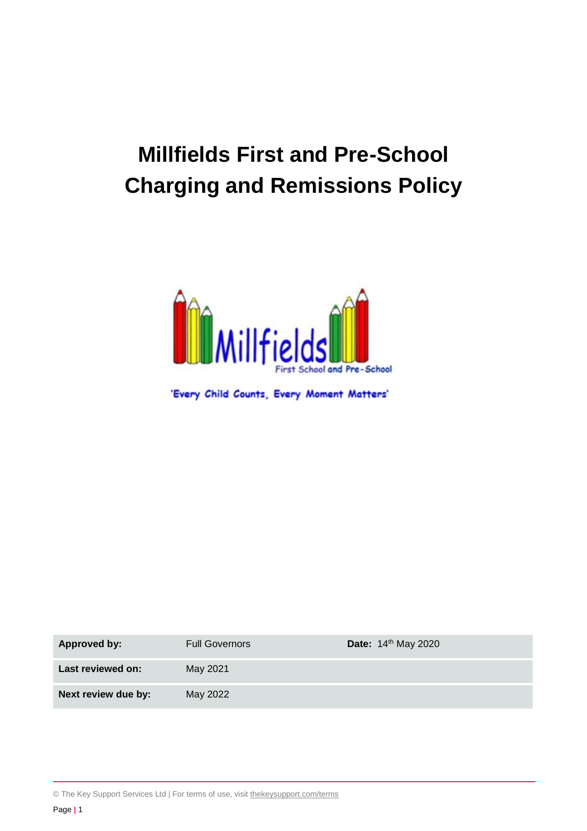# **Millfields First and Pre-School Charging and Remissions Policy**



'Every Child Counts, Every Moment Matters'

| Approved by:        | <b>Full Governors</b> | Date: 14th May 2020 |
|---------------------|-----------------------|---------------------|
| Last reviewed on:   | May 2021              |                     |
| Next review due by: | May 2022              |                     |

© The Key Support Services Ltd | For terms of use, visit [thekeysupport.com/terms](https://thekeysupport.com/terms-of-use)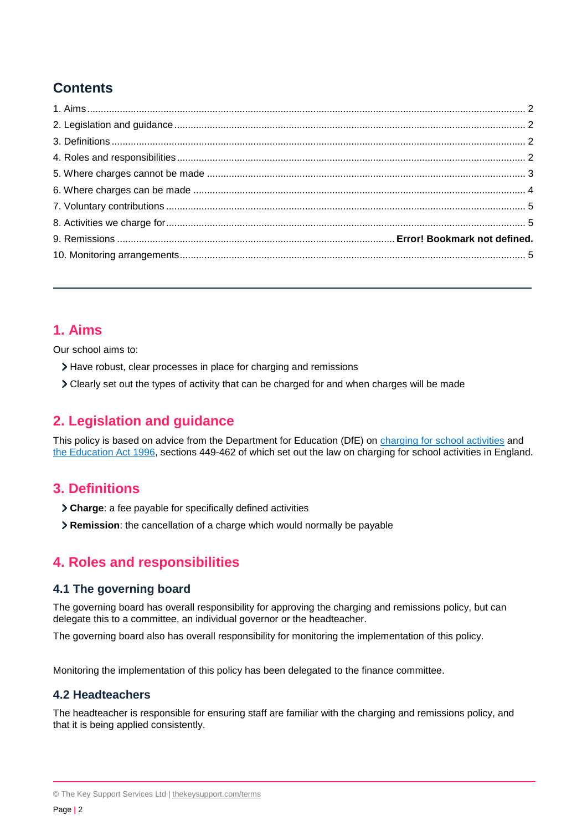# **Contents**

## <span id="page-1-0"></span>**1. Aims**

Our school aims to:

- Have robust, clear processes in place for charging and remissions
- Clearly set out the types of activity that can be charged for and when charges will be made

# <span id="page-1-1"></span>**2. Legislation and guidance**

This policy is based on advice from the Department for Education (DfE) on [charging for school activities](https://www.gov.uk/government/publications/charging-for-school-activities) and [the Education Act 1996,](http://www.legislation.gov.uk/ukpga/1996/56/part/VI/chapter/III) sections 449-462 of which set out the law on charging for school activities in England.

## <span id="page-1-2"></span>**3. Definitions**

- **Charge**: a fee payable for specifically defined activities
- **Remission**: the cancellation of a charge which would normally be payable

# <span id="page-1-3"></span>**4. Roles and responsibilities**

#### **4.1 The governing board**

The governing board has overall responsibility for approving the charging and remissions policy, but can delegate this to a committee, an individual governor or the headteacher.

The governing board also has overall responsibility for monitoring the implementation of this policy.

Monitoring the implementation of this policy has been delegated to the finance committee.

#### **4.2 Headteachers**

The headteacher is responsible for ensuring staff are familiar with the charging and remissions policy, and that it is being applied consistently.

<sup>©</sup> The Key Support Services Ltd | [thekeysupport.com/terms](https://thekeysupport.com/terms-of-use)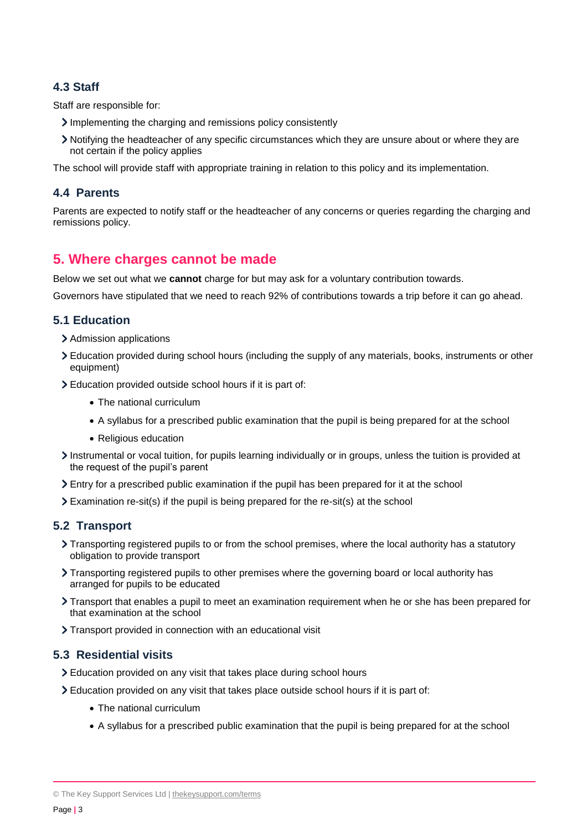#### **4.3 Staff**

Staff are responsible for:

- Implementing the charging and remissions policy consistently
- Notifying the headteacher of any specific circumstances which they are unsure about or where they are not certain if the policy applies

The school will provide staff with appropriate training in relation to this policy and its implementation.

#### **4.4 Parents**

Parents are expected to notify staff or the headteacher of any concerns or queries regarding the charging and remissions policy.

## <span id="page-2-0"></span>**5. Where charges cannot be made**

Below we set out what we **cannot** charge for but may ask for a voluntary contribution towards.

Governors have stipulated that we need to reach 92% of contributions towards a trip before it can go ahead.

#### **5.1 Education**

- > Admission applications
- Education provided during school hours (including the supply of any materials, books, instruments or other equipment)
- Education provided outside school hours if it is part of:
	- The national curriculum
	- A syllabus for a prescribed public examination that the pupil is being prepared for at the school
	- Religious education
- Instrumental or vocal tuition, for pupils learning individually or in groups, unless the tuition is provided at the request of the pupil's parent
- Entry for a prescribed public examination if the pupil has been prepared for it at the school
- Examination re-sit(s) if the pupil is being prepared for the re-sit(s) at the school

#### **5.2 Transport**

- Transporting registered pupils to or from the school premises, where the local authority has a statutory obligation to provide transport
- Transporting registered pupils to other premises where the governing board or local authority has arranged for pupils to be educated
- Transport that enables a pupil to meet an examination requirement when he or she has been prepared for that examination at the school
- > Transport provided in connection with an educational visit

#### **5.3 Residential visits**

- Education provided on any visit that takes place during school hours
- Education provided on any visit that takes place outside school hours if it is part of:
	- The national curriculum
	- A syllabus for a prescribed public examination that the pupil is being prepared for at the school

<sup>©</sup> The Key Support Services Ltd | [thekeysupport.com/terms](https://thekeysupport.com/terms-of-use)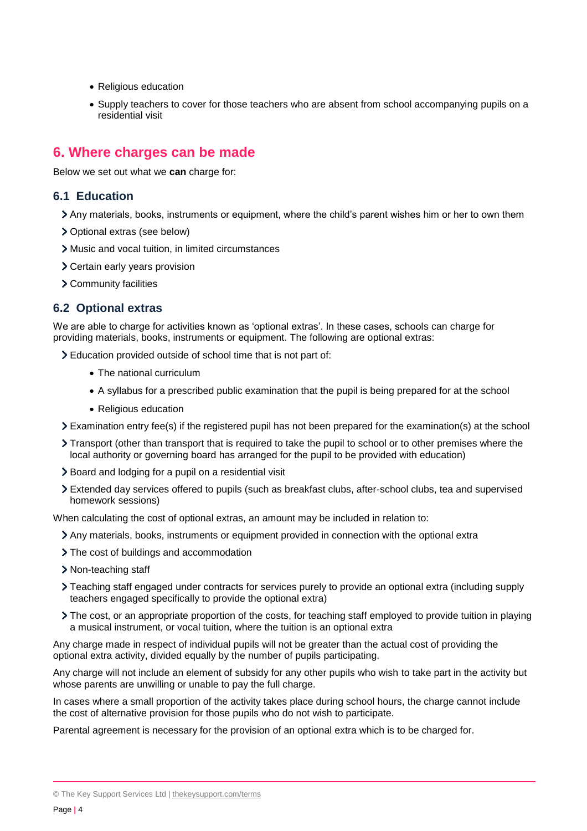- Religious education
- Supply teachers to cover for those teachers who are absent from school accompanying pupils on a residential visit

## <span id="page-3-0"></span>**6. Where charges can be made**

Below we set out what we **can** charge for:

#### **6.1 Education**

- Any materials, books, instruments or equipment, where the child's parent wishes him or her to own them
- Optional extras (see below)
- Music and vocal tuition, in limited circumstances
- Certain early years provision
- Community facilities

#### **6.2 Optional extras**

We are able to charge for activities known as 'optional extras'. In these cases, schools can charge for providing materials, books, instruments or equipment. The following are optional extras:

Education provided outside of school time that is not part of:

- The national curriculum
- A syllabus for a prescribed public examination that the pupil is being prepared for at the school
- Religious education
- Examination entry fee(s) if the registered pupil has not been prepared for the examination(s) at the school
- Transport (other than transport that is required to take the pupil to school or to other premises where the local authority or governing board has arranged for the pupil to be provided with education)
- Board and lodging for a pupil on a residential visit
- Extended day services offered to pupils (such as breakfast clubs, after-school clubs, tea and supervised homework sessions)

When calculating the cost of optional extras, an amount may be included in relation to:

- Any materials, books, instruments or equipment provided in connection with the optional extra
- > The cost of buildings and accommodation
- > Non-teaching staff
- Teaching staff engaged under contracts for services purely to provide an optional extra (including supply teachers engaged specifically to provide the optional extra)
- The cost, or an appropriate proportion of the costs, for teaching staff employed to provide tuition in playing a musical instrument, or vocal tuition, where the tuition is an optional extra

Any charge made in respect of individual pupils will not be greater than the actual cost of providing the optional extra activity, divided equally by the number of pupils participating.

Any charge will not include an element of subsidy for any other pupils who wish to take part in the activity but whose parents are unwilling or unable to pay the full charge.

In cases where a small proportion of the activity takes place during school hours, the charge cannot include the cost of alternative provision for those pupils who do not wish to participate.

Parental agreement is necessary for the provision of an optional extra which is to be charged for.

<sup>©</sup> The Key Support Services Ltd | [thekeysupport.com/terms](https://thekeysupport.com/terms-of-use)